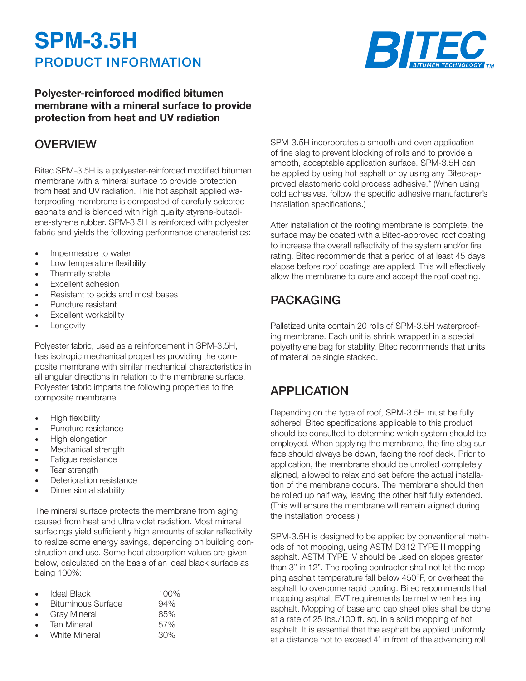# PRODUCT INFORMATION **SPM-3.5H**



### **Polyester-reinforced modified bitumen membrane with a mineral surface to provide protection from heat and UV radiation**

### **OVERVIEW**

Bitec SPM-3.5H is a polyester-reinforced modified bitumen membrane with a mineral surface to provide protection from heat and UV radiation. This hot asphalt applied waterproofing membrane is composted of carefully selected asphalts and is blended with high quality styrene-butadiene-styrene rubber. SPM-3.5H is reinforced with polyester fabric and yields the following performance characteristics:

- Impermeable to water
- Low temperature flexibility
- Thermally stable
- Excellent adhesion
- Resistant to acids and most bases
- Puncture resistant
- **Excellent workability**
- **Longevity**

Polyester fabric, used as a reinforcement in SPM-3.5H, has isotropic mechanical properties providing the composite membrane with similar mechanical characteristics in all angular directions in relation to the membrane surface. Polyester fabric imparts the following properties to the composite membrane:

- High flexibility
- Puncture resistance
- High elongation
- Mechanical strength
- Fatigue resistance
- Tear strength
- Deterioration resistance
- Dimensional stability

The mineral surface protects the membrane from aging caused from heat and ultra violet radiation. Most mineral surfacings yield sufficiently high amounts of solar reflectivity to realize some energy savings, depending on building construction and use. Some heat absorption values are given below, calculated on the basis of an ideal black surface as being 100%:

| <b>Ideal Black</b>        | $100\%$ |
|---------------------------|---------|
| <b>Bituminous Surface</b> | 94%     |
| <b>Gray Mineral</b>       | 85%     |
| <b>Tan Mineral</b>        | 57%     |
| White Mineral             | 30%     |

SPM-3.5H incorporates a smooth and even application of fine slag to prevent blocking of rolls and to provide a smooth, acceptable application surface. SPM-3.5H can be applied by using hot asphalt or by using any Bitec-approved elastomeric cold process adhesive.\* (When using cold adhesives, follow the specific adhesive manufacturer's installation specifications.)

After installation of the roofing membrane is complete, the surface may be coated with a Bitec-approved roof coating to increase the overall reflectivity of the system and/or fire rating. Bitec recommends that a period of at least 45 days elapse before roof coatings are applied. This will effectively allow the membrane to cure and accept the roof coating.

# PACKAGING

Palletized units contain 20 rolls of SPM-3.5H waterproofing membrane. Each unit is shrink wrapped in a special polyethylene bag for stability. Bitec recommends that units of material be single stacked.

# APPLICATION

Depending on the type of roof, SPM-3.5H must be fully adhered. Bitec specifications applicable to this product should be consulted to determine which system should be employed. When applying the membrane, the fine slag surface should always be down, facing the roof deck. Prior to application, the membrane should be unrolled completely, aligned, allowed to relax and set before the actual installation of the membrane occurs. The membrane should then be rolled up half way, leaving the other half fully extended. (This will ensure the membrane will remain aligned during the installation process.)

SPM-3.5H is designed to be applied by conventional methods of hot mopping, using ASTM D312 TYPE lll mopping asphalt. ASTM TYPE IV should be used on slopes greater than 3" in 12". The roofing contractor shall not let the mopping asphalt temperature fall below 450°F, or overheat the asphalt to overcome rapid cooling. Bitec recommends that mopping asphalt EVT requirements be met when heating asphalt. Mopping of base and cap sheet plies shall be done at a rate of 25 Ibs./100 ft. sq. in a solid mopping of hot asphalt. It is essential that the asphalt be applied uniformly at a distance not to exceed 4' in front of the advancing roll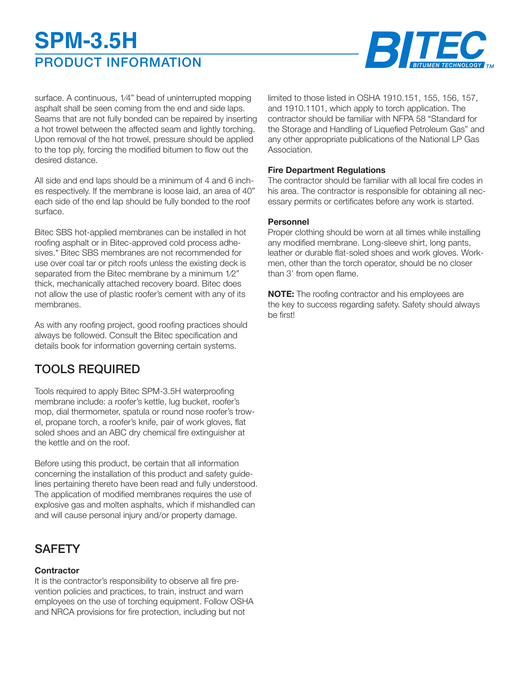# PRODUCT INFORMATION **SPM-3.5H**



surface. A continuous, 1⁄4" bead of uninterrupted mopping asphalt shall be seen coming from the end and side laps. Seams that are not fully bonded can be repaired by inserting a hot trowel between the affected seam and lightly torching. Upon removal of the hot trowel, pressure should be applied to the top ply, forcing the modified bitumen to flow out the desired distance.

All side and end laps should be a minimum of 4 and 6 inches respectively. If the membrane is loose laid, an area of 40" each side of the end lap should be fully bonded to the roof surface.

Bitec SBS hot-applied membranes can be installed in hot roofing asphalt or in Bitec-approved cold process adhesives.\* Bitec SBS membranes are not recommended for use over coal tar or pitch roofs unless the existing deck is separated from the Bitec membrane by a minimum 1⁄2" thick, mechanically attached recovery board. Bitec does not allow the use of plastic roofer's cement with any of its membranes.

As with any roofing project, good roofing practices should always be followed. Consult the Bitec specification and details book for information governing certain systems.

# TOOLS REQUIRED

Tools required to apply Bitec SPM-3.5H waterproofing membrane include: a roofer's kettle, lug bucket, roofer's mop, dial thermometer, spatula or round nose roofer's trowel, propane torch, a roofer's knife, pair of work gloves, flat soled shoes and an ABC dry chemical fire extinguisher at the kettle and on the roof.

Before using this product, be certain that all information concerning the installation of this product and safety guidelines pertaining thereto have been read and fully understood. The application of modified membranes requires the use of explosive gas and molten asphalts, which if mishandled can and will cause personal injury and/or property damage.

# **SAFETY**

#### **Contractor**

It is the contractor's responsibility to observe all fire prevention policies and practices, to train, instruct and warn employees on the use of torching equipment. Follow OSHA and NRCA provisions for fire protection, including but not

limited to those listed in OSHA 1910.151, 155, 156, 157, and 1910.1101, which apply to torch application. The contractor should be familiar with NFPA 58 "Standard for the Storage and Handling of Liquefied Petroleum Gas" and any other appropriate publications of the National LP Gas Association.

#### **Fire Department Regulations**

The contractor should be familiar with all local fire codes in his area. The contractor is responsible for obtaining all necessary permits or certificates before any work is started.

#### **Personnel**

Proper clothing should be worn at all times while installing any modified membrane. Long-sleeve shirt, long pants, leather or durable flat-soled shoes and work gloves. Workmen, other than the torch operator, should be no closer than 3' from open flame.

**NOTE:** The roofing contractor and his employees are the key to success regarding safety. Safety should always be first!